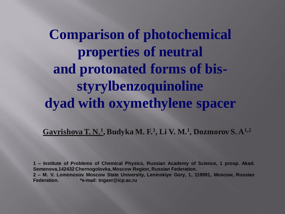**Comparison of photochemical properties of neutral and protonated forms of bisstyrylbenzoquinoline dyad with oxymethylene spacer**

**Gavrishova T. N.<sup>1</sup> , Budyka M. F.<sup>1</sup> , Li V. M.<sup>1</sup> , Dozmorov S. A1,2**

**1 – Institute of Problems of Chemical Physics, Russian Academy of Science, 1 prosp. Akad. Semenova,142432 Chernogolovka, Moscow Region, Russian Federation. 2 – M. V. Lomonosov Moscow State University, Leninskiye Gory, 1, 119991, Moscow, Russian Federation. \*e-mail: tngavr@icp.ac.ru**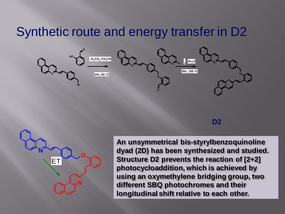## Synthetic route and energy transfer in D2



**D2**



**An unsymmetrical bis-styrylbenzoquinoline dyad (2D) has been synthesized and studied. Structure D2 prevents the reaction of [2+2] photocycloaddition, which is achieved by using an oxymethylene bridging group, two different SBQ photochromes and their longitudinal shift relative to each other.**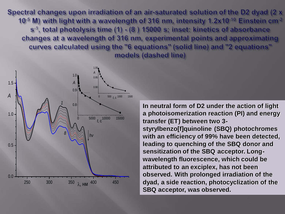Spectral changes upon irradiation of an air-saturated solution of the D2 dyad (2 x 10<sup>-5</sup> M) with light with a wavelength of 316 nm, intensity 1.2x10<sup>-10</sup> Einstein cm<sup>-2</sup> s<sup>-1</sup>, total photolysis time (1) - (8) 15000 s; inset: kinetics of absorbance changes at a wavelength of 316 nm, experimental points and approximating curves calculated using the "6 equations" (solid line) and "2 equations" models (dashed line)



**In neutral form of D2 under the action of light a photoisomerization reaction (PI) and energy transfer (ET) between two 3 styrylbenzo[f]quinoline (SBQ) photochromes with an efficiency of 99% have been detected, leading to quenching of the SBQ donor and sensitization of the SBQ acceptor. Longwavelength fluorescence, which could be attributed to an exciplex, has not been observed. With prolonged irradiation of the dyad, a side reaction, photocyclization of the SBQ acceptor, was observed.**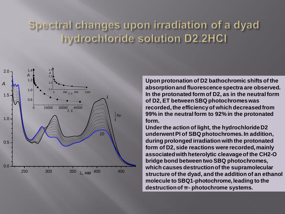## Spectral changes upon irradiation of a dyad hydrochloride solution D2.2HCl



**Upon protonation of D2 bathochromic shifts of the absorption and fluorescence spectra are observed. In the protonated form of D2, as in the neutral form of D2, ET between SBQ photochromes was recorded, the efficiency of which decreased from 99% in the neutral form to 92% in the protonated form.** 

**Under the action of light, the hydrochloride D2 underwent PI of SBQ photochromes. In addition, during prolonged irradiation with the protonated form of D2, side reactions were recorded, mainly associated with heterolytic cleavage of the CH2-O bridge bond between two SBQ photochromes, which causes destruction of the supramolecular structure of the dyad, and the addition of an ethanol molecule to SBQ1-photochrome, leading to the destruction of π- photochrome systems.**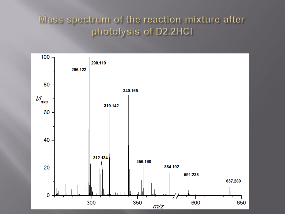## Mass spectrum of the reaction mixture after photolysis of D2.2HCl

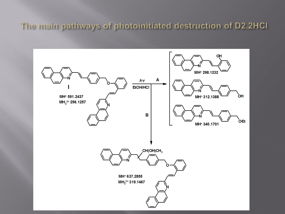The main pathways of photoinitiated destruction of D2.2HCI